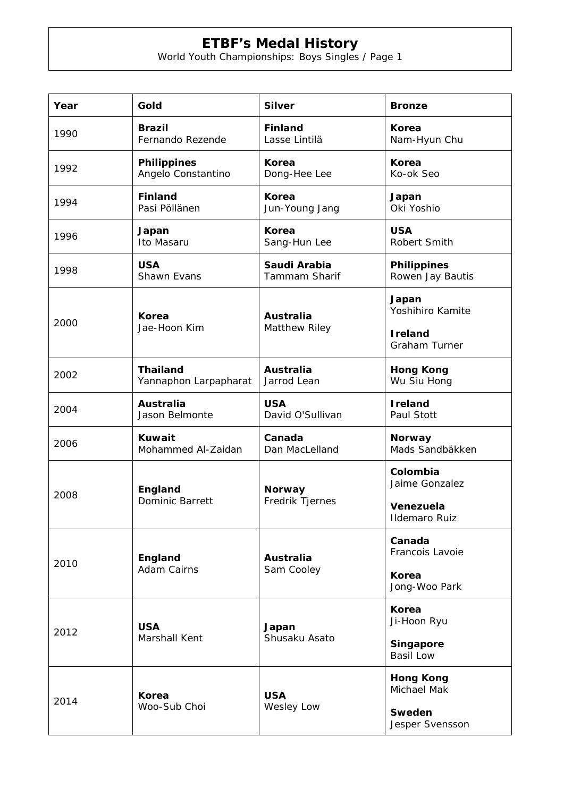## **ETBF's Medal History**

World Youth Championships: Boys Singles / Page 1

| Year | Gold                                     | <b>Silver</b>                     | <b>Bronze</b>                           |
|------|------------------------------------------|-----------------------------------|-----------------------------------------|
| 1990 | <b>Brazil</b><br>Fernando Rezende        | <b>Finland</b><br>Lasse Lintilä   | <b>Korea</b><br>Nam-Hyun Chu            |
| 1992 | <b>Philippines</b><br>Angelo Constantino | <b>Korea</b><br>Dong-Hee Lee      | Korea<br>Ko-ok Seo                      |
| 1994 | <b>Finland</b><br>Pasi Pöllänen          | Korea<br>Jun-Young Jang           | Japan<br>Oki Yoshio                     |
| 1996 | Japan<br>Ito Masaru                      | Korea<br>Sang-Hun Lee             | <b>USA</b><br>Robert Smith              |
| 1998 | <b>USA</b><br>Shawn Evans                | Saudi Arabia<br>Tammam Sharif     | <b>Philippines</b><br>Rowen Jay Bautis  |
| 2000 | Korea<br>Jae-Hoon Kim                    | <b>Australia</b><br>Matthew Riley | Japan<br>Yoshihiro Kamite               |
|      |                                          |                                   | <b>I</b> reland<br><b>Graham Turner</b> |
| 2002 | <b>Thailand</b><br>Yannaphon Larpapharat | <b>Australia</b><br>Jarrod Lean   | <b>Hong Kong</b><br>Wu Siu Hong         |
| 2004 | <b>Australia</b><br>Jason Belmonte       | <b>USA</b><br>David O'Sullivan    | <b>I</b> reland<br>Paul Stott           |
| 2006 | Kuwait<br>Mohammed Al-Zaidan             | Canada<br>Dan MacLelland          | <b>Norway</b><br>Mads Sandbäkken        |
| 2008 | England<br>Dominic Barrett               | <b>Norway</b><br>Fredrik Tjernes  | Colombia<br>Jaime Gonzalez              |
|      |                                          |                                   | Venezuela<br><b>Ildemaro Ruiz</b>       |
| 2010 | England<br><b>Adam Cairns</b>            | <b>Australia</b><br>Sam Cooley    | Canada<br>Francois Lavoie               |
|      |                                          |                                   | Korea<br>Jong-Woo Park                  |
| 2012 | <b>USA</b><br>Marshall Kent              | Japan<br>Shusaku Asato            | <b>Korea</b><br>Ji-Hoon Ryu             |
|      |                                          |                                   | Singapore<br><b>Basil Low</b>           |
| 2014 | Korea<br>Woo-Sub Choi                    | <b>USA</b><br>Wesley Low          | <b>Hong Kong</b><br>Michael Mak         |
|      |                                          |                                   | Sweden<br>Jesper Svensson               |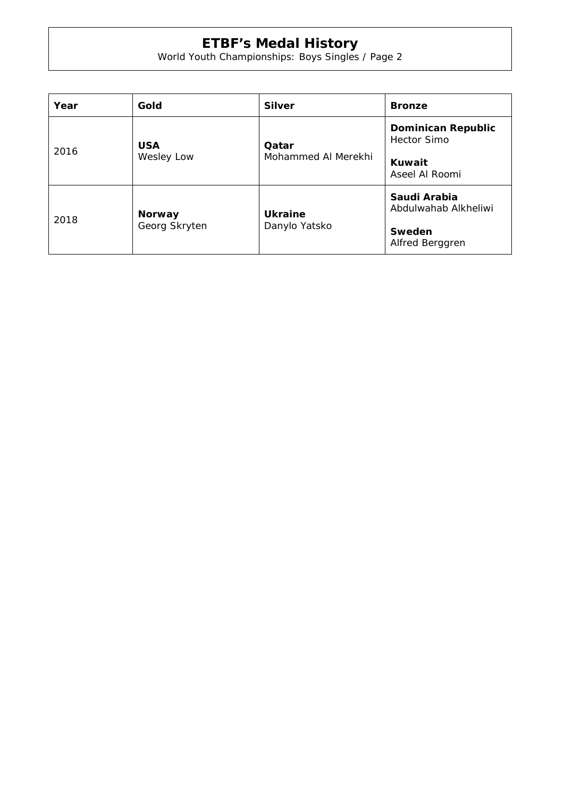## **ETBF's Medal History**

World Youth Championships: Boys Singles / Page 2

| Year | Gold                           | <b>Silver</b>                   | <b>Bronze</b>                                                               |
|------|--------------------------------|---------------------------------|-----------------------------------------------------------------------------|
| 2016 | <b>USA</b><br>Wesley Low       | Qatar<br>Mohammed Al Merekhi    | <b>Dominican Republic</b><br><b>Hector Simo</b><br>Kuwait<br>Aseel Al Roomi |
| 2018 | <b>Norway</b><br>Georg Skryten | <b>Ukraine</b><br>Danylo Yatsko | Saudi Arabia<br>Abdulwahab Alkheliwi<br>Sweden<br>Alfred Berggren           |